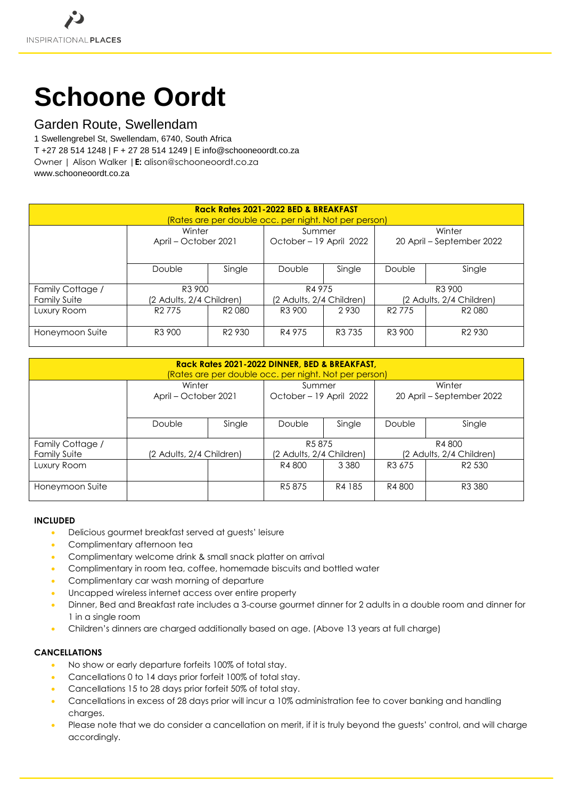# **Schoone Oordt**

# Garden Route, Swellendam

1 Swellengrebel St, Swellendam, 6740, South Africa T +27 28 514 1248 | F + 27 28 514 1249 | E info@schooneoordt.co.za Owner | Alison Walker |**E:** alison@schooneoordt.co.za [www.schooneoordt.co.za](http://www.schooneoordt.co.za/)

| Rack Rates 2021-2022 BED & BREAKFAST                  |                          |                    |                          |                    |                           |                    |  |  |  |  |
|-------------------------------------------------------|--------------------------|--------------------|--------------------------|--------------------|---------------------------|--------------------|--|--|--|--|
| (Rates are per double occ. per night. Not per person) |                          |                    |                          |                    |                           |                    |  |  |  |  |
|                                                       | Winter                   |                    | Summer                   |                    | Winter                    |                    |  |  |  |  |
|                                                       | April – October 2021     |                    | October - 19 April 2022  |                    | 20 April – September 2022 |                    |  |  |  |  |
|                                                       |                          |                    |                          |                    |                           |                    |  |  |  |  |
|                                                       | Double                   | Single             | Double                   | Single             | Double                    | Single             |  |  |  |  |
| Family Cottage /                                      | R <sub>3</sub> 900       |                    | R4 975                   |                    | R <sub>3</sub> 900        |                    |  |  |  |  |
| <b>Family Suite</b>                                   | (2 Adults, 2/4 Children) |                    | (2 Adults, 2/4 Children) |                    | (2 Adults, 2/4 Children)  |                    |  |  |  |  |
| Luxury Room                                           | R <sub>2</sub> 775       | R <sub>2</sub> 080 | R <sub>3</sub> 900       | 2930               | R <sub>2</sub> 775        | R <sub>2</sub> 080 |  |  |  |  |
| Honeymoon Suite                                       | R <sub>3</sub> 900       | R <sub>2</sub> 930 | R4 975                   | R <sub>3</sub> 735 | R <sub>3</sub> 900        | R <sub>2</sub> 930 |  |  |  |  |

| Rack Rates 2021-2022 DINNER, BED & BREAKFAST,<br>(Rates are per double occ. per night. Not per person) |                                |        |                                   |         |                                     |                    |  |  |  |  |
|--------------------------------------------------------------------------------------------------------|--------------------------------|--------|-----------------------------------|---------|-------------------------------------|--------------------|--|--|--|--|
|                                                                                                        | Winter<br>April – October 2021 |        | Summer<br>October - 19 April 2022 |         | Winter<br>20 April – September 2022 |                    |  |  |  |  |
|                                                                                                        |                                |        |                                   |         |                                     |                    |  |  |  |  |
|                                                                                                        | Double                         | Single | Double                            | Single  | Double                              | Single             |  |  |  |  |
| Family Cottage /                                                                                       |                                |        | R <sub>5</sub> 875                |         | R4 800                              |                    |  |  |  |  |
| <b>Family Suite</b>                                                                                    | (2 Adults, 2/4 Children)       |        | (2 Adults, 2/4 Children)          |         | (2 Adults, 2/4 Children)            |                    |  |  |  |  |
| Luxury Room                                                                                            |                                |        | R4 800                            | 3 3 8 0 | R <sub>3</sub> 675                  | R <sub>2</sub> 530 |  |  |  |  |
| Honeymoon Suite                                                                                        |                                |        | R <sub>5</sub> 875                | R4 185  | R4 800                              | R <sub>3</sub> 380 |  |  |  |  |

# **INCLUDED**

- Delicious gourmet breakfast served at guests' leisure
- Complimentary afternoon tea
- Complimentary welcome drink & small snack platter on arrival
- Complimentary in room tea, coffee, homemade biscuits and bottled water
- Complimentary car wash morning of departure
- Uncapped wireless internet access over entire property
- Dinner, Bed and Breakfast rate includes a 3-course gourmet dinner for 2 adults in a double room and dinner for 1 in a single room
- Children's dinners are charged additionally based on age. (Above 13 years at full charge)

# **CANCELLATIONS**

- No show or early departure forfeits 100% of total stay.
- Cancellations 0 to 14 days prior forfeit 100% of total stay.
- Cancellations 15 to 28 days prior forfeit 50% of total stay.
- Cancellations in excess of 28 days prior will incur a 10% administration fee to cover banking and handling charges.
- Please note that we do consider a cancellation on merit, if it is truly beyond the guests' control, and will charge accordingly.